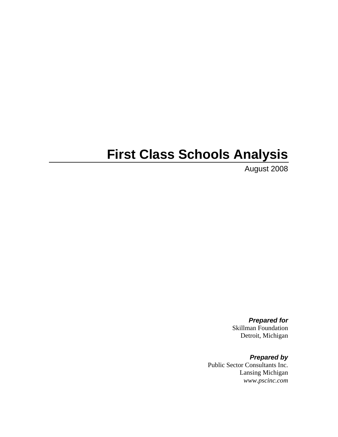# **First Class Schools Analysis**

August 2008

*Prepared for*  Skillman Foundation Detroit, Michigan

*Prepared by*  Public Sector Consultants Inc. Lansing Michigan *www.pscinc.com*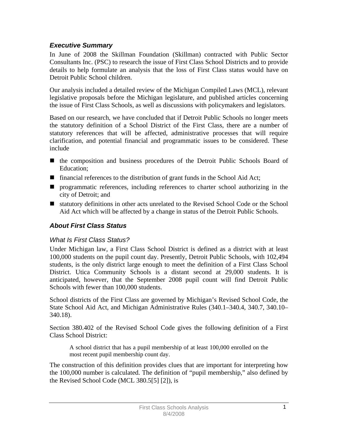## *Executive Summary*

In June of 2008 the Skillman Foundation (Skillman) contracted with Public Sector Consultants Inc. (PSC) to research the issue of First Class School Districts and to provide details to help formulate an analysis that the loss of First Class status would have on Detroit Public School children.

Our analysis included a detailed review of the Michigan Compiled Laws (MCL), relevant legislative proposals before the Michigan legislature, and published articles concerning the issue of First Class Schools, as well as discussions with policymakers and legislators.

Based on our research, we have concluded that if Detroit Public Schools no longer meets the statutory definition of a School District of the First Class, there are a number of statutory references that will be affected, administrative processes that will require clarification, and potential financial and programmatic issues to be considered. These include

- the composition and business procedures of the Detroit Public Schools Board of Education;
- financial references to the distribution of grant funds in the School Aid Act;
- **Perogrammatic references, including references to charter school authorizing in the** city of Detroit; and
- statutory definitions in other acts unrelated to the Revised School Code or the School Aid Act which will be affected by a change in status of the Detroit Public Schools.

## *About First Class Status*

#### *What Is First Class Status?*

Under Michigan law, a First Class School District is defined as a district with at least 100,000 students on the pupil count day. Presently, Detroit Public Schools, with 102,494 students, is the only district large enough to meet the definition of a First Class School District. Utica Community Schools is a distant second at 29,000 students. It is anticipated, however, that the September 2008 pupil count will find Detroit Public Schools with fewer than 100,000 students.

School districts of the First Class are governed by Michigan's Revised School Code, the State School Aid Act, and Michigan Administrative Rules (340.1–340.4, 340.7, 340.10– 340.18).

Section 380.402 of the Revised School Code gives the following definition of a First Class School District:

A school district that has a pupil membership of at least 100,000 enrolled on the most recent pupil membership count day.

The construction of this definition provides clues that are important for interpreting how the 100,000 number is calculated. The definition of "pupil membership," also defined by the Revised School Code (MCL 380.5[5] [2]), is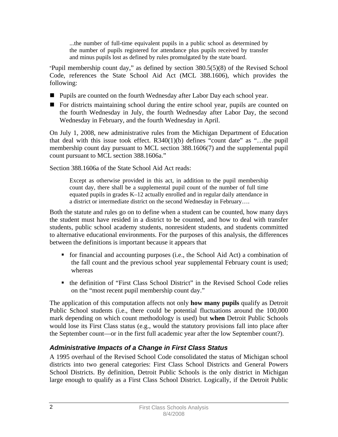...the number of full-time equivalent pupils in a public school as determined by the number of pupils registered for attendance plus pupils received by transfer and minus pupils lost as defined by rules promulgated by the state board.

"Pupil membership count day," as defined by section 380.5(5)(8) of the Revised School Code, references the State School Aid Act (MCL 388.1606), which provides the following:

- Pupils are counted on the fourth Wednesday after Labor Day each school year.
- For districts maintaining school during the entire school year, pupils are counted on the fourth Wednesday in July, the fourth Wednesday after Labor Day, the second Wednesday in February, and the fourth Wednesday in April.

On July 1, 2008, new administrative rules from the Michigan Department of Education that deal with this issue took effect. R340(1)(b) defines "count date" as "…the pupil membership count day pursuant to MCL section 388.1606(7) and the supplemental pupil count pursuant to MCL section 388.1606a."

Section 388.1606a of the State School Aid Act reads:

Except as otherwise provided in this act, in addition to the pupil membership count day, there shall be a supplemental pupil count of the number of full time equated pupils in grades K–12 actually enrolled and in regular daily attendance in a district or intermediate district on the second Wednesday in February….

Both the statute and rules go on to define when a student can be counted, how many days the student must have resided in a district to be counted, and how to deal with transfer students, public school academy students, nonresident students, and students committed to alternative educational environments. For the purposes of this analysis, the differences between the definitions is important because it appears that

- $\blacksquare$  for financial and accounting purposes (i.e., the School Aid Act) a combination of the fall count and the previous school year supplemental February count is used; whereas
- the definition of "First Class School District" in the Revised School Code relies on the "most recent pupil membership count day."

The application of this computation affects not only **how many pupils** qualify as Detroit Public School students (i.e., there could be potential fluctuations around the 100,000 mark depending on which count methodology is used) but **when** Detroit Public Schools would lose its First Class status (e.g., would the statutory provisions fall into place after the September count—or in the first full academic year after the low September count?).

## *Administrative Impacts of a Change in First Class Status*

A 1995 overhaul of the Revised School Code consolidated the status of Michigan school districts into two general categories: First Class School Districts and General Powers School Districts. By definition, Detroit Public Schools is the only district in Michigan large enough to qualify as a First Class School District. Logically, if the Detroit Public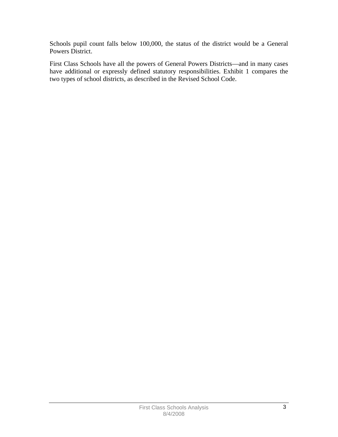Schools pupil count falls below 100,000, the status of the district would be a General Powers District.

First Class Schools have all the powers of General Powers Districts—and in many cases have additional or expressly defined statutory responsibilities. Exhibit 1 compares the two types of school districts, as described in the Revised School Code.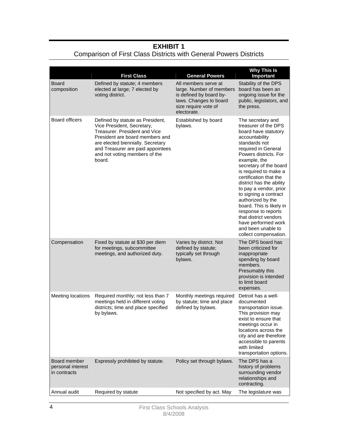## **EXHIBIT 1**

## Comparison of First Class Districts with General Powers Districts

|                                                   | <b>First Class</b>                                                                                                                                                                                                                                      | <b>General Powers</b>                                                                                                                        | <b>Why This Is</b><br>Important                                                                                                                                                                                                                                                                                                                                                                                                                                                                         |
|---------------------------------------------------|---------------------------------------------------------------------------------------------------------------------------------------------------------------------------------------------------------------------------------------------------------|----------------------------------------------------------------------------------------------------------------------------------------------|---------------------------------------------------------------------------------------------------------------------------------------------------------------------------------------------------------------------------------------------------------------------------------------------------------------------------------------------------------------------------------------------------------------------------------------------------------------------------------------------------------|
| Board<br>composition                              | Defined by statute; 4 members<br>elected at large; 7 elected by<br>voting district.                                                                                                                                                                     | All members serve at<br>large. Number of members<br>is defined by board by-<br>laws. Changes to board<br>size require vote of<br>electorate. | Stability of the DPS<br>board has been an<br>ongoing issue for the<br>public, legislators, and<br>the press.                                                                                                                                                                                                                                                                                                                                                                                            |
| <b>Board officers</b>                             | Defined by statute as President,<br>Vice President, Secretary,<br>Treasurer, President and Vice<br>President are board members and<br>are elected biennially. Secretary<br>and Treasurer are paid appointees<br>and not voting members of the<br>board. | Established by board<br>bylaws.                                                                                                              | The secretary and<br>treasurer of the DPS<br>board have statutory<br>accountability<br>standards not<br>required in General<br>Powers districts. For<br>example, the<br>secretary of the board<br>is required to make a<br>certification that the<br>district has the ability<br>to pay a vendor, prior<br>to signing a contract<br>authorized by the<br>board. This is likely in<br>response to reports<br>that district vendors<br>have performed work<br>and been unable to<br>collect compensation. |
| Compensation                                      | Fixed by statute at \$30 per diem<br>for meetings, subcommittee<br>meetings, and authorized duty.                                                                                                                                                       | Varies by district. Not<br>defined by statute;<br>typically set through<br>bylaws.                                                           | The DPS board has<br>been criticized for<br>inappropriate<br>spending by board<br>members.<br>Presumably this<br>provision is intended<br>to limit board<br>expenses.                                                                                                                                                                                                                                                                                                                                   |
| Meeting locations                                 | Required monthly; not less than 7<br>meetings held in different voting<br>districts; time and place specified<br>by bylaws.                                                                                                                             | Monthly meetings required<br>by statute; time and place<br>defined by bylaws.                                                                | Detroit has a well-<br>documented<br>transportation issue.<br>This provision may<br>exist to ensure that<br>meetings occur in<br>locations across the<br>city and are therefore<br>accessible to parents<br>with limited<br>transportation options.                                                                                                                                                                                                                                                     |
| Board member<br>personal interest<br>in contracts | Expressly prohibited by statute.                                                                                                                                                                                                                        | Policy set through bylaws.                                                                                                                   | The DPS has a<br>history of problems<br>surrounding vendor<br>relationships and<br>contracting.                                                                                                                                                                                                                                                                                                                                                                                                         |
| Annual audit                                      | Required by statute                                                                                                                                                                                                                                     | Not specified by act. May                                                                                                                    | The legislature was                                                                                                                                                                                                                                                                                                                                                                                                                                                                                     |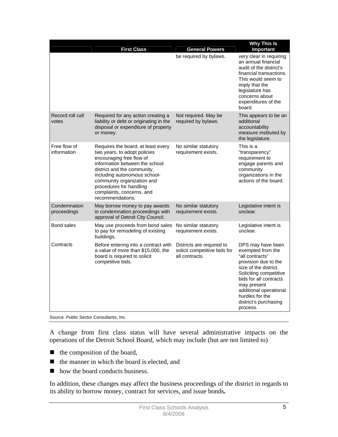|                             | <b>First Class</b>                                                                                                                                                                                                                                                                                        | <b>General Powers</b>                                                       | <b>Why This Is</b><br>Important                                                                                                                                                                                                                                 |
|-----------------------------|-----------------------------------------------------------------------------------------------------------------------------------------------------------------------------------------------------------------------------------------------------------------------------------------------------------|-----------------------------------------------------------------------------|-----------------------------------------------------------------------------------------------------------------------------------------------------------------------------------------------------------------------------------------------------------------|
|                             |                                                                                                                                                                                                                                                                                                           | be required by bylaws.                                                      | very clear in requiring<br>an annual financial<br>audit of the district's<br>financial transactions.<br>This would seem to<br>imply that the<br>legislature has<br>concerns about<br>expenditures of the<br>board.                                              |
| Record roll call<br>votes   | Required for any action creating a<br>liability or debt or originating in the<br>disposal or expenditure of property<br>or money.                                                                                                                                                                         | Not required. May be<br>required by bylaws.                                 | This appears to be an<br>additional<br>accountability<br>measure instituted by<br>the legislature.                                                                                                                                                              |
| Free flow of<br>information | Requires the board, at least every<br>two years, to adopt policies<br>encouraging free flow of<br>information between the school<br>district and the community,<br>including autonomous school-<br>community organization and<br>procedures for handling<br>complaints, concerns, and<br>recommendations. | No similar statutory<br>requirement exists.                                 | This is a<br>"transparency"<br>requirement to<br>engage parents and<br>community<br>organizations in the<br>actions of the board.                                                                                                                               |
| Condemnation<br>proceedings | May borrow money to pay awards<br>in condemnation proceedings with<br>approval of Detroit City Council.                                                                                                                                                                                                   | No similar statutory<br>requirement exists.                                 | Legislative intent is<br>unclear.                                                                                                                                                                                                                               |
| Bond sales                  | May use proceeds from bond sales<br>to pay for remodeling of existing<br>buildings.                                                                                                                                                                                                                       | No similar statutory<br>requirement exists.                                 | Legislative intent is<br>unclear.                                                                                                                                                                                                                               |
| Contracts                   | Before entering into a contract with<br>a value of more than \$15,000, the<br>board is required to solicit<br>competitive bids.                                                                                                                                                                           | Districts are required to<br>solicit competitive bids for<br>all contracts. | DPS may have been<br>exempted from the<br>"all contracts"<br>provision due to the<br>size of the district.<br>Soliciting competitive<br>bids for all contracts<br>may present<br>additional operational<br>hurdles for the<br>district's purchasing<br>process. |

Source: Public Sector Consultants, Inc.

A change from first class status will have several administrative impacts on the operations of the Detroit School Board, which may include (but are not limited to)

- $\blacksquare$  the composition of the board,
- $\blacksquare$  the manner in which the board is elected, and
- how the board conducts business.

In addition, these changes may affect the business proceedings of the district in regards to its ability to borrow money, contract for services, and issue bonds*.*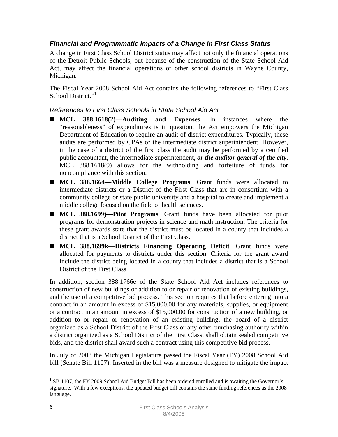## *Financial and Programmatic Impacts of a Change in First Class Status*

A change in First Class School District status may affect not only the financial operations of the Detroit Public Schools, but because of the construction of the State School Aid Act, may affect the financial operations of other school districts in Wayne County, Michigan.

The Fiscal Year 2008 School Aid Act contains the following references to "First Class School District."<sup>1</sup>

#### *References to First Class Schools in State School Aid Act*

- **MCL 388.1618(2)—Auditing and Expenses**. In instances where the "reasonableness" of expenditures is in question, the Act empowers the Michigan Department of Education to require an audit of district expenditures. Typically, these audits are performed by CPAs or the intermediate district superintendent. However, in the case of a district of the first class the audit may be performed by a certified public accountant, the intermediate superintendent, *or the auditor general of the city*. MCL 388.1618(9) allows for the withholding and forfeiture of funds for noncompliance with this section.
- **MCL 388.1664—Middle College Programs**. Grant funds were allocated to intermediate districts or a District of the First Class that are in consortium with a community college or state public university and a hospital to create and implement a middle college focused on the field of health sciences.
- **MCL 388.1699j—Pilot Programs**. Grant funds have been allocated for pilot programs for demonstration projects in science and math instruction. The criteria for these grant awards state that the district must be located in a county that includes a district that is a School District of the First Class.
- **MCL 388.1699k**—**Districts Financing Operating Deficit**. Grant funds were allocated for payments to districts under this section. Criteria for the grant award include the district being located in a county that includes a district that is a School District of the First Class.

In addition, section 388.1766e of the State School Aid Act includes references to construction of new buildings or addition to or repair or renovation of existing buildings, and the use of a competitive bid process. This section requires that before entering into a contract in an amount in excess of \$15,000.00 for any materials, supplies, or equipment or a contract in an amount in excess of \$15,000.00 for construction of a new building, or addition to or repair or renovation of an existing building, the board of a district organized as a School District of the First Class or any other purchasing authority within a district organized as a School District of the First Class, shall obtain sealed competitive bids, and the district shall award such a contract using this competitive bid process.

In July of 2008 the Michigan Legislature passed the Fiscal Year (FY) 2008 School Aid bill (Senate Bill 1107). Inserted in the bill was a measure designed to mitigate the impact

 $\overline{a}$ 

<sup>&</sup>lt;sup>1</sup> SB 1107, the FY 2009 School Aid Budget Bill has been ordered enrolled and is awaiting the Governor's signature. With a few exceptions, the updated budget bill contains the same funding references as the 2008 language.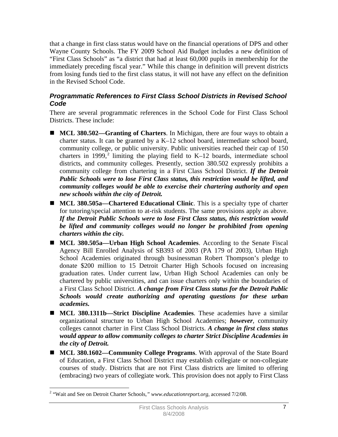that a change in first class status would have on the financial operations of DPS and other Wayne County Schools. The FY 2009 School Aid Budget includes a new definition of "First Class Schools" as "a district that had at least 60,000 pupils in membership for the immediately preceding fiscal year." While this change in definition will prevent districts from losing funds tied to the first class status, it will not have any effect on the definition in the Revised School Code.

### *Programmatic References to First Class School Districts in Revised School Code*

There are several programmatic references in the School Code for First Class School Districts. These include:

- **MCL 380.502—Granting of Charters**. In Michigan, there are four ways to obtain a charter status. It can be granted by a K–12 school board, intermediate school board, community college, or public university. Public universities reached their cap of 150 charters in 1999,<sup>2</sup> limiting the playing field to K–12 boards, intermediate school districts, and community colleges. Presently, section 380.502 expressly prohibits a community college from chartering in a First Class School District. *If the Detroit Public Schools were to lose First Class status, this restriction would be lifted, and community colleges would be able to exercise their chartering authority and open new schools within the city of Detroit.*
- MCL 380.505a—Chartered Educational Clinic. This is a specialty type of charter for tutoring/special attention to at-risk students. The same provisions apply as above. *If the Detroit Public Schools were to lose First Class status, this restriction would be lifted and community colleges would no longer be prohibited from opening charters within the city.*
- **MCL 380.505a—Urban High School Academies**. According to the Senate Fiscal Agency Bill Enrolled Analysis of SB393 of 2003 (PA 179 of 2003), Urban High School Academies originated through businessman Robert Thompson's pledge to donate \$200 million to 15 Detroit Charter High Schools focused on increasing graduation rates. Under current law, Urban High School Academies can only be chartered by public universities, and can issue charters only within the boundaries of a First Class School District. *A change from First Class status for the Detroit Public Schools would create authorizing and operating questions for these urban academies.*
- **MCL 380.1311b—Strict Discipline Academies**. These academies have a similar organizational structure to Urban High School Academies; *however*, community colleges cannot charter in First Class School Districts. *A change in first class status would appear to allow community colleges to charter Strict Discipline Academies in the city of Detroit.*
- **MCL 380.1602—Community College Programs**. With approval of the State Board of Education, a First Class School District may establish collegiate or non-collegiate courses of study. Districts that are not First Class districts are limited to offering (embracing) two years of collegiate work. This provision does not apply to First Class

 $\overline{a}$ 

<sup>&</sup>lt;sup>2</sup> "Wait and See on Detroit Charter Schools," www.educationreport.org, accessed 7/2/08.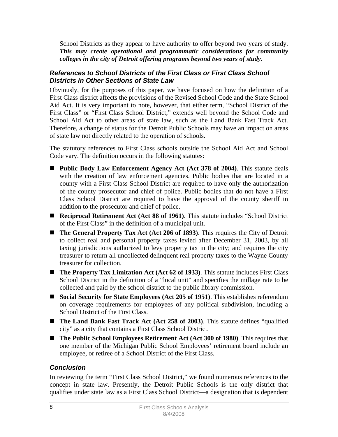School Districts as they appear to have authority to offer beyond two years of study. *This may create operational and programmatic considerations for community colleges in the city of Detroit offering programs beyond two years of study.* 

#### *References to School Districts of the First Class or First Class School Districts in Other Sections of State Law*

Obviously, for the purposes of this paper, we have focused on how the definition of a First Class district affects the provisions of the Revised School Code and the State School Aid Act. It is very important to note, however, that either term, "School District of the First Class" or "First Class School District," extends well beyond the School Code and School Aid Act to other areas of state law, such as the Land Bank Fast Track Act. Therefore, a change of status for the Detroit Public Schools may have an impact on areas of state law not directly related to the operation of schools.

The statutory references to First Class schools outside the School Aid Act and School Code vary. The definition occurs in the following statutes:

- **Public Body Law Enforcement Agency Act (Act 378 of 2004)**. This statute deals with the creation of law enforcement agencies. Public bodies that are located in a county with a First Class School District are required to have only the authorization of the county prosecutor and chief of police. Public bodies that do not have a First Class School District are required to have the approval of the county sheriff in addition to the prosecutor and chief of police.
- **Reciprocal Retirement Act (Act 88 of 1961)**. This statute includes "School District of the First Class" in the definition of a municipal unit.
- **The General Property Tax Act** (Act 206 of 1893). This requires the City of Detroit to collect real and personal property taxes levied after December 31, 2003, by all taxing jurisdictions authorized to levy property tax in the city; and requires the city treasurer to return all uncollected delinquent real property taxes to the Wayne County treasurer for collection.
- **The Property Tax Limitation Act (Act 62 of 1933)**. This statute includes First Class School District in the definition of a "local unit" and specifies the millage rate to be collected and paid by the school district to the public library commission.
- Social Security for State Employees (Act 205 of 1951). This establishes referendum on coverage requirements for employees of any political subdivision, including a School District of the First Class.
- The Land Bank Fast Track Act (Act 258 of 2003). This statute defines "qualified city" as a city that contains a First Class School District.
- The Public School Employees Retirement Act (Act 300 of 1980). This requires that one member of the Michigan Public School Employees' retirement board include an employee, or retiree of a School District of the First Class.

## *Conclusion*

In reviewing the term "First Class School District," we found numerous references to the concept in state law. Presently, the Detroit Public Schools is the only district that qualifies under state law as a First Class School District—a designation that is dependent